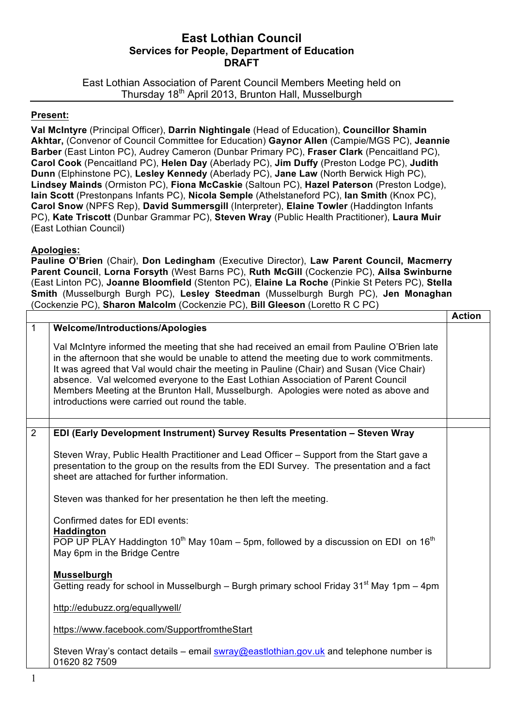## **East Lothian Council Services for People, Department of Education DRAFT**

East Lothian Association of Parent Council Members Meeting held on Thursday 18<sup>th</sup> April 2013, Brunton Hall, Musselburgh

## **Present:**

**Val McIntyre** (Principal Officer), **Darrin Nightingale** (Head of Education), **Councillor Shamin Akhtar,** (Convenor of Council Committee for Education) **Gaynor Allen** (Campie/MGS PC), **Jeannie Barber** (East Linton PC), Audrey Cameron (Dunbar Primary PC), **Fraser Clark** (Pencaitland PC), **Carol Cook** (Pencaitland PC), **Helen Day** (Aberlady PC), **Jim Duffy** (Preston Lodge PC), **Judith Dunn** (Elphinstone PC), **Lesley Kennedy** (Aberlady PC), **Jane Law** (North Berwick High PC), **Lindsey Mainds** (Ormiston PC), **Fiona McCaskie** (Saltoun PC), **Hazel Paterson** (Preston Lodge), **Iain Scott** (Prestonpans Infants PC), **Nicola Semple** (Athelstaneford PC), **Ian Smith** (Knox PC), **Carol Snow** (NPFS Rep), **David Summersgill** (Interpreter), **Elaine Towler** (Haddington Infants PC), **Kate Triscott** (Dunbar Grammar PC), **Steven Wray** (Public Health Practitioner), **Laura Muir** (East Lothian Council)

## **Apologies:**

**Pauline O'Brien** (Chair), **Don Ledingham** (Executive Director), **Law Parent Council, Macmerry Parent Council**, **Lorna Forsyth** (West Barns PC), **Ruth McGill** (Cockenzie PC), **Ailsa Swinburne** (East Linton PC), **Joanne Bloomfield** (Stenton PC), **Elaine La Roche** (Pinkie St Peters PC), **Stella Smith** (Musselburgh Burgh PC), **Lesley Steedman** (Musselburgh Burgh PC), **Jen Monaghan** (Cockenzie PC), **Sharon Malcolm** (Cockenzie PC), **Bill Gleeson** (Loretto R C PC) **Action**

|              |                                                                                                                                                                                                                                                                                                                                                                                                                                                                                                                  | ACTION |
|--------------|------------------------------------------------------------------------------------------------------------------------------------------------------------------------------------------------------------------------------------------------------------------------------------------------------------------------------------------------------------------------------------------------------------------------------------------------------------------------------------------------------------------|--------|
| $\mathbf{1}$ | Welcome/Introductions/Apologies                                                                                                                                                                                                                                                                                                                                                                                                                                                                                  |        |
|              | Val McIntyre informed the meeting that she had received an email from Pauline O'Brien late<br>in the afternoon that she would be unable to attend the meeting due to work commitments.<br>It was agreed that Val would chair the meeting in Pauline (Chair) and Susan (Vice Chair)<br>absence. Val welcomed everyone to the East Lothian Association of Parent Council<br>Members Meeting at the Brunton Hall, Musselburgh. Apologies were noted as above and<br>introductions were carried out round the table. |        |
|              |                                                                                                                                                                                                                                                                                                                                                                                                                                                                                                                  |        |
| 2            | EDI (Early Development Instrument) Survey Results Presentation - Steven Wray                                                                                                                                                                                                                                                                                                                                                                                                                                     |        |
|              | Steven Wray, Public Health Practitioner and Lead Officer – Support from the Start gave a<br>presentation to the group on the results from the EDI Survey. The presentation and a fact<br>sheet are attached for further information.                                                                                                                                                                                                                                                                             |        |
|              | Steven was thanked for her presentation he then left the meeting.                                                                                                                                                                                                                                                                                                                                                                                                                                                |        |
|              | Confirmed dates for EDI events:                                                                                                                                                                                                                                                                                                                                                                                                                                                                                  |        |
|              | Haddington                                                                                                                                                                                                                                                                                                                                                                                                                                                                                                       |        |
|              | POP UP PLAY Haddington 10 <sup>th</sup> May 10am – 5pm, followed by a discussion on EDI on 16 <sup>th</sup><br>May 6pm in the Bridge Centre                                                                                                                                                                                                                                                                                                                                                                      |        |
|              | <b>Musselburgh</b>                                                                                                                                                                                                                                                                                                                                                                                                                                                                                               |        |
|              | Getting ready for school in Musselburgh – Burgh primary school Friday 31 <sup>st</sup> May 1pm – 4pm                                                                                                                                                                                                                                                                                                                                                                                                             |        |
|              | http://edubuzz.org/equallywell/                                                                                                                                                                                                                                                                                                                                                                                                                                                                                  |        |
|              | https://www.facebook.com/SupportfromtheStart                                                                                                                                                                                                                                                                                                                                                                                                                                                                     |        |
|              | Steven Wray's contact details – email swray@eastlothian.gov.uk and telephone number is<br>01620 82 7509                                                                                                                                                                                                                                                                                                                                                                                                          |        |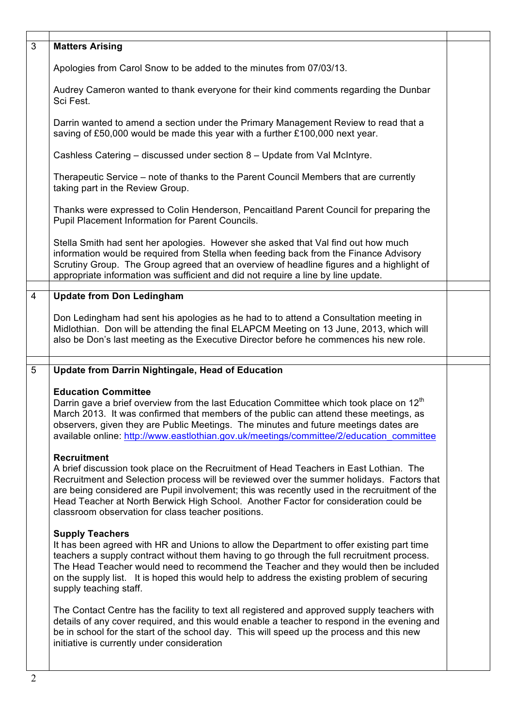| 3              | <b>Matters Arising</b>                                                                                                                                                                                                                                                                                                                                                                                                                                  |  |
|----------------|---------------------------------------------------------------------------------------------------------------------------------------------------------------------------------------------------------------------------------------------------------------------------------------------------------------------------------------------------------------------------------------------------------------------------------------------------------|--|
|                | Apologies from Carol Snow to be added to the minutes from 07/03/13.                                                                                                                                                                                                                                                                                                                                                                                     |  |
|                | Audrey Cameron wanted to thank everyone for their kind comments regarding the Dunbar<br>Sci Fest.                                                                                                                                                                                                                                                                                                                                                       |  |
|                | Darrin wanted to amend a section under the Primary Management Review to read that a<br>saving of £50,000 would be made this year with a further £100,000 next year.                                                                                                                                                                                                                                                                                     |  |
|                | Cashless Catering - discussed under section 8 - Update from Val McIntyre.                                                                                                                                                                                                                                                                                                                                                                               |  |
|                | Therapeutic Service – note of thanks to the Parent Council Members that are currently<br>taking part in the Review Group.                                                                                                                                                                                                                                                                                                                               |  |
|                | Thanks were expressed to Colin Henderson, Pencaitland Parent Council for preparing the<br>Pupil Placement Information for Parent Councils.                                                                                                                                                                                                                                                                                                              |  |
|                | Stella Smith had sent her apologies. However she asked that Val find out how much<br>information would be required from Stella when feeding back from the Finance Advisory<br>Scrutiny Group. The Group agreed that an overview of headline figures and a highlight of<br>appropriate information was sufficient and did not require a line by line update.                                                                                             |  |
| $\overline{4}$ | <b>Update from Don Ledingham</b>                                                                                                                                                                                                                                                                                                                                                                                                                        |  |
|                | Don Ledingham had sent his apologies as he had to to attend a Consultation meeting in<br>Midlothian. Don will be attending the final ELAPCM Meeting on 13 June, 2013, which will<br>also be Don's last meeting as the Executive Director before he commences his new role.                                                                                                                                                                              |  |
| 5              | Update from Darrin Nightingale, Head of Education                                                                                                                                                                                                                                                                                                                                                                                                       |  |
|                | <b>Education Committee</b><br>Darrin gave a brief overview from the last Education Committee which took place on 12 <sup>th</sup><br>March 2013. It was confirmed that members of the public can attend these meetings, as<br>observers, given they are Public Meetings. The minutes and future meetings dates are<br>available online: http://www.eastlothian.gov.uk/meetings/committee/2/education_committee                                          |  |
|                | <b>Recruitment</b><br>A brief discussion took place on the Recruitment of Head Teachers in East Lothian. The<br>Recruitment and Selection process will be reviewed over the summer holidays. Factors that<br>are being considered are Pupil involvement; this was recently used in the recruitment of the<br>Head Teacher at North Berwick High School. Another Factor for consideration could be<br>classroom observation for class teacher positions. |  |
|                | <b>Supply Teachers</b><br>It has been agreed with HR and Unions to allow the Department to offer existing part time<br>teachers a supply contract without them having to go through the full recruitment process.<br>The Head Teacher would need to recommend the Teacher and they would then be included<br>on the supply list. It is hoped this would help to address the existing problem of securing<br>supply teaching staff.                      |  |
|                | The Contact Centre has the facility to text all registered and approved supply teachers with<br>details of any cover required, and this would enable a teacher to respond in the evening and<br>be in school for the start of the school day. This will speed up the process and this new<br>initiative is currently under consideration                                                                                                                |  |